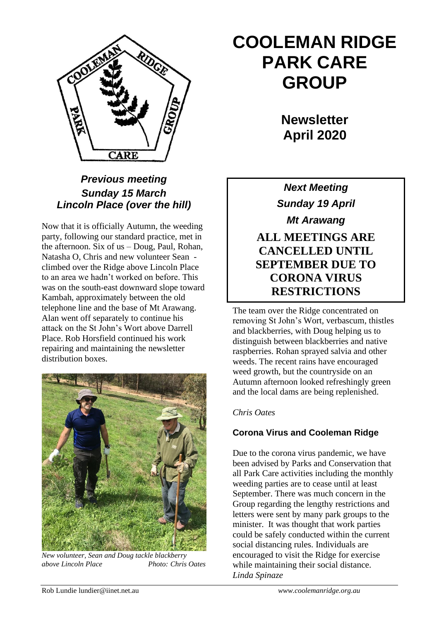

# *Previous meeting Sunday 15 March Lincoln Place (over the hill)*

Now that it is officially Autumn, the weeding party, following our standard practice, met in the afternoon. Six of us – Doug, Paul, Rohan, Natasha O, Chris and new volunteer Sean climbed over the Ridge above Lincoln Place to an area we hadn't worked on before. This was on the south-east downward slope toward Kambah, approximately between the old telephone line and the base of Mt Arawang. Alan went off separately to continue his attack on the St John's Wort above Darrell Place. Rob Horsfield continued his work repairing and maintaining the newsletter distribution boxes.



*New volunteer, Sean and Doug tackle blackberry above Lincoln Place Photo: Chris Oates*

# **COOLEMAN RIDGE PARK CARE GROUP**

**Newsletter April 2020** 

*Next Meeting Sunday 19 April Mt Arawang* **ALL MEETINGS ARE CANCELLED UNTIL SEPTEMBER DUE TO CORONA VIRUS RESTRICTIONS**

The team over the Ridge concentrated on removing St John's Wort, verbascum, thistles and blackberries, with Doug helping us to distinguish between blackberries and native raspberries. Rohan sprayed salvia and other weeds. The recent rains have encouraged weed growth, but the countryside on an Autumn afternoon looked refreshingly green and the local dams are being replenished.

### *Chris Oates*

## **Corona Virus and Cooleman Ridge**

Due to the corona virus pandemic, we have been advised by Parks and Conservation that all Park Care activities including the monthly weeding parties are to cease until at least September. There was much concern in the Group regarding the lengthy restrictions and letters were sent by many park groups to the minister. It was thought that work parties could be safely conducted within the current social distancing rules. Individuals are encouraged to visit the Ridge for exercise while maintaining their social distance. *Linda Spinaze*